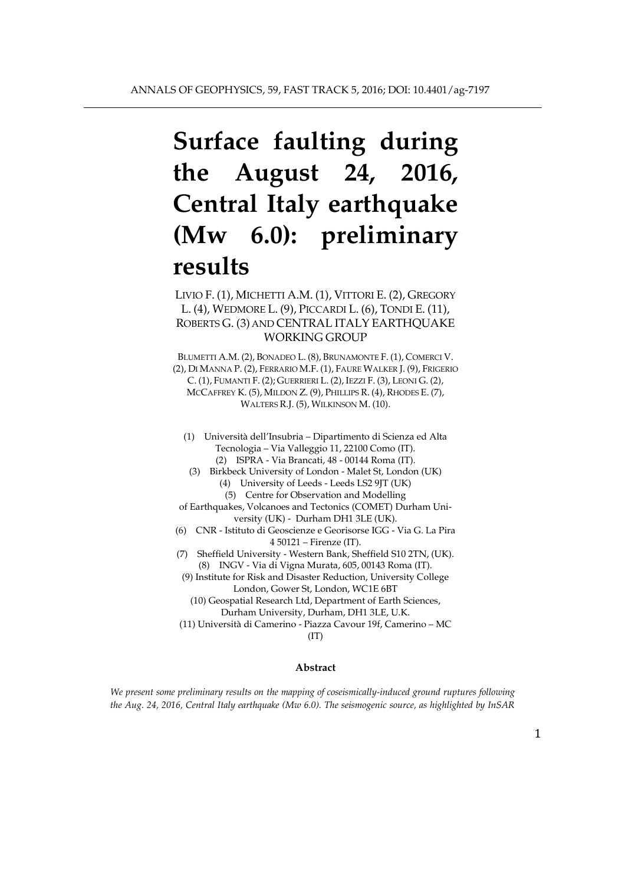# **Surface faulting during the August 24, 2016, Central Italy earthquake (Mw 6.0): preliminary results**

# LIVIO F. (1), MICHETTI A.M. (1), VITTORI E. (2), GREGORY L. (4), WEDMORE L. (9), PICCARDI L. (6), TONDI E. (11), ROBERTS G. (3) AND CENTRAL ITALY EARTHQUAKE WORKING GROUP

BLUMETTI A.M. (2), BONADEO L. (8), BRUNAMONTE F. (1), COMERCI V. (2), DI MANNA P. (2), FERRARIO M.F. (1), FAURE WALKER J. (9), FRIGERIO C. (1), FUMANTI F. (2); GUERRIERI L. (2), IEZZI F. (3), LEONI G. (2), MCCAFFREY K. (5), MILDON Z. (9), PHILLIPS R. (4), RHODES E. (7), WALTERS R.J. (5), WILKINSON M. (10).

(1) Università dell'Insubria – Dipartimento di Scienza ed Alta Tecnologia – Via Valleggio 11, 22100 Como (IT). (2) ISPRA - Via Brancati, 48 - 00144 Roma (IT).

(3) Birkbeck University of London - Malet St, London (UK) (4) University of Leeds - Leeds LS2 9JT (UK)

(5) Centre for Observation and Modelling

of Earthquakes, Volcanoes and Tectonics (COMET) Durham University (UK) - Durham DH1 3LE (UK).

(6) CNR - Istituto di Geoscienze e Georisorse IGG - Via G. La Pira 4 50121 – Firenze (IT).

(7) Sheffield University - Western Bank, Sheffield S10 2TN, (UK). (8) INGV - Via di Vigna Murata, 605, 00143 Roma (IT).

(9) Institute for Risk and Disaster Reduction, University College London, Gower St, London, WC1E 6BT

(10) Geospatial Research Ltd, Department of Earth Sciences, Durham University, Durham, DH1 3LE, U.K.

(11) Università di Camerino - Piazza Cavour 19f, Camerino – MC (IT)

#### **Abstract**

*We present some preliminary results on the mapping of coseismically-induced ground ruptures following the Aug. 24, 2016, Central Italy earthquake (Mw 6.0). The seismogenic source, as highlighted by InSAR*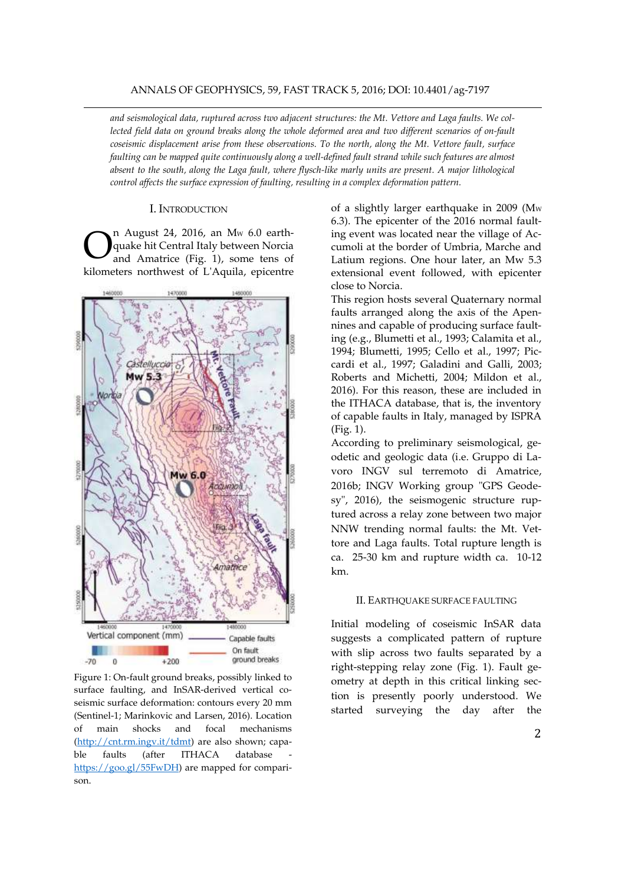*and seismological data, ruptured across two adjacent structures: the Mt. Vettore and Laga faults. We collected field data on ground breaks along the whole deformed area and two different scenarios of on-fault coseismic displacement arise from these observations. To the north, along the Mt. Vettore fault, surface faulting can be mapped quite continuously along a well-defined fault strand while such features are almost absent to the south, along the Laga fault, where flysch-like marly units are present. A major lithological control affects the surface expression of faulting, resulting in a complex deformation pattern.*

#### I. INTRODUCTION

n August 24, 2016, an M<sup>W</sup> 6.0 earthquake hit Central Italy between Norcia and Amatrice (Fig. 1), some tens of kilometers northwest of L'Aquila, epicentre O



Figure 1: On-fault ground breaks, possibly linked to surface faulting, and InSAR-derived vertical coseismic surface deformation: contours every 20 mm (Sentinel-1; Marinkovic and Larsen, 2016). Location of main shocks and focal mechanisms [\(http://cnt.rm.ingv.it/tdmt\)](http://cnt.rm.ingv.it/tdmt) are also shown; capable faults (after ITHACA database [https://goo.gl/55FwDH\)](https://goo.gl/55FwDH) are mapped for comparison.

of a slightly larger earthquake in 2009 (Mw 6.3). The epicenter of the 2016 normal faulting event was located near the village of Accumoli at the border of Umbria, Marche and Latium regions. One hour later, an Mw 5.3 extensional event followed, with epicenter close to Norcia.

This region hosts several Quaternary normal faults arranged along the axis of the Apennines and capable of producing surface faulting (e.g., Blumetti et al., 1993; Calamita et al., 1994; Blumetti, 1995; Cello et al., 1997; Piccardi et al., 1997; Galadini and Galli, 2003; Roberts and Michetti, 2004; Mildon et al., 2016). For this reason, these are included in the ITHACA database, that is, the inventory of capable faults in Italy, managed by ISPRA (Fig. 1).

According to preliminary seismological, geodetic and geologic data (i.e. Gruppo di Lavoro INGV sul terremoto di Amatrice, 2016b; INGV Working group "GPS Geodesy", 2016), the seismogenic structure ruptured across a relay zone between two major NNW trending normal faults: the Mt. Vettore and Laga faults. Total rupture length is ca. 25-30 km and rupture width ca. 10-12 km.

#### II. EARTHQUAKE SURFACE FAULTING

Initial modeling of coseismic InSAR data suggests a complicated pattern of rupture with slip across two faults separated by a right-stepping relay zone (Fig. 1). Fault geometry at depth in this critical linking section is presently poorly understood. We started surveying the day after the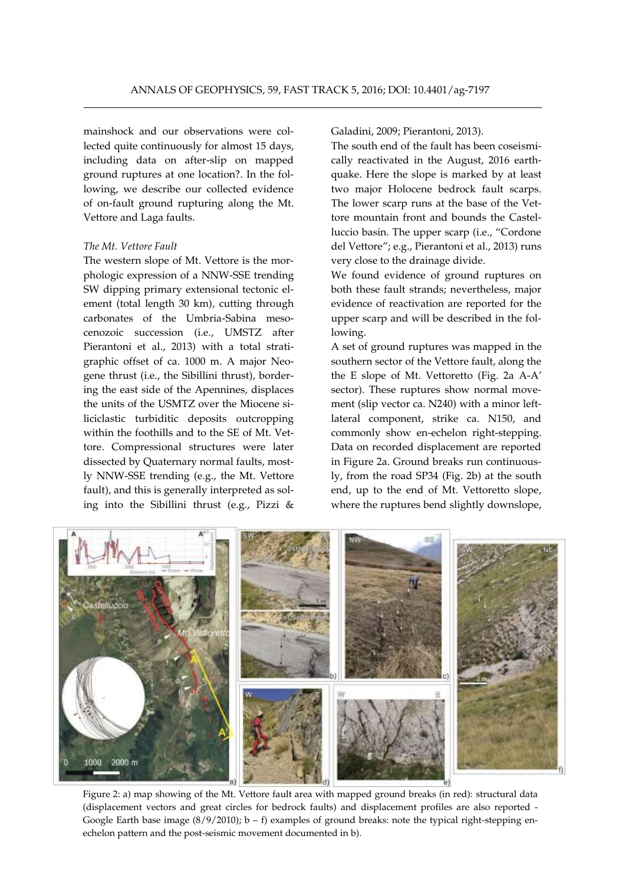mainshock and our observations were collected quite continuously for almost 15 days, including data on after-slip on mapped ground ruptures at one location?. In the following, we describe our collected evidence of on-fault ground rupturing along the Mt. Vettore and Laga faults.

#### *The Mt. Vettore Fault*

The western slope of Mt. Vettore is the morphologic expression of a NNW-SSE trending SW dipping primary extensional tectonic element (total length 30 km), cutting through carbonates of the Umbria-Sabina mesocenozoic succession (i.e., UMSTZ after Pierantoni et al., 2013) with a total stratigraphic offset of ca. 1000 m. A major Neogene thrust (i.e., the Sibillini thrust), bordering the east side of the Apennines, displaces the units of the USMTZ over the Miocene siliciclastic turbiditic deposits outcropping within the foothills and to the SE of Mt. Vettore. Compressional structures were later dissected by Quaternary normal faults, mostly NNW-SSE trending (e.g., the Mt. Vettore fault), and this is generally interpreted as soling into the Sibillini thrust (e.g., Pizzi &

Galadini, 2009; Pierantoni, 2013).

The south end of the fault has been coseismically reactivated in the August, 2016 earthquake. Here the slope is marked by at least two major Holocene bedrock fault scarps. The lower scarp runs at the base of the Vettore mountain front and bounds the Castelluccio basin. The upper scarp (i.e., "Cordone del Vettore"; e.g., Pierantoni et al., 2013) runs very close to the drainage divide.

We found evidence of ground ruptures on both these fault strands; nevertheless, major evidence of reactivation are reported for the upper scarp and will be described in the following.

A set of ground ruptures was mapped in the southern sector of the Vettore fault, along the the E slope of Mt. Vettoretto (Fig. 2a A-A' sector). These ruptures show normal movement (slip vector ca. N240) with a minor leftlateral component, strike ca. N150, and commonly show en-echelon right-stepping. Data on recorded displacement are reported in Figure 2a. Ground breaks run continuously, from the road SP34 (Fig. 2b) at the south end, up to the end of Mt. Vettoretto slope, where the ruptures bend slightly downslope,



Figure 2: a) map showing of the Mt. Vettore fault area with mapped ground breaks (in red): structural data (displacement vectors and great circles for bedrock faults) and displacement profiles are also reported - Google Earth base image  $(8/9/2010)$ ; b – f) examples of ground breaks: note the typical right-stepping enechelon pattern and the post-seismic movement documented in b).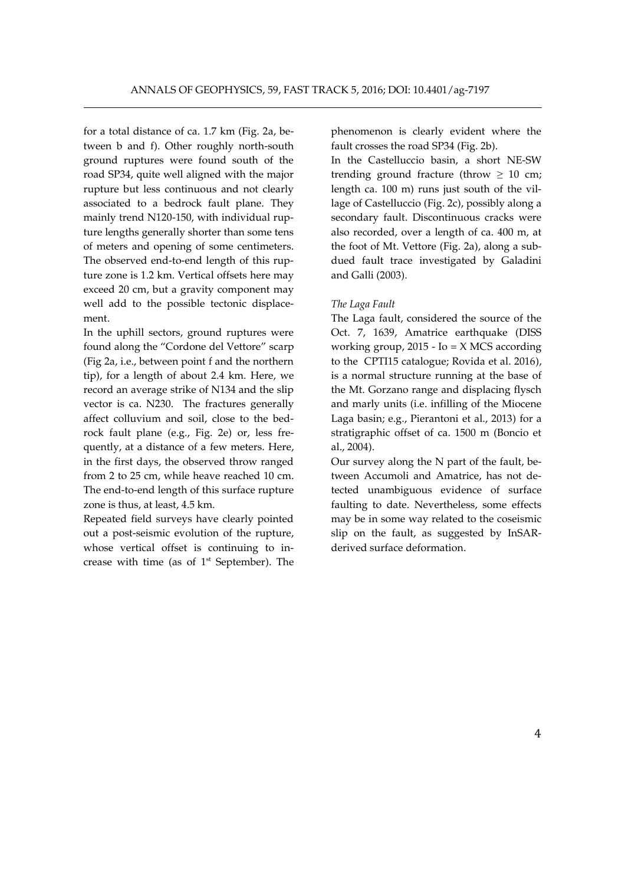for a total distance of ca. 1.7 km (Fig. 2a, between b and f). Other roughly north-south ground ruptures were found south of the road SP34, quite well aligned with the major rupture but less continuous and not clearly associated to a bedrock fault plane. They mainly trend N120-150, with individual rupture lengths generally shorter than some tens of meters and opening of some centimeters. The observed end-to-end length of this rupture zone is 1.2 km. Vertical offsets here may exceed 20 cm, but a gravity component may well add to the possible tectonic displacement.

In the uphill sectors, ground ruptures were found along the "Cordone del Vettore" scarp (Fig 2a, i.e., between point f and the northern tip), for a length of about 2.4 km. Here, we record an average strike of N134 and the slip vector is ca. N230. The fractures generally affect colluvium and soil, close to the bedrock fault plane (e.g., Fig. 2e) or, less frequently, at a distance of a few meters. Here, in the first days, the observed throw ranged from 2 to 25 cm, while heave reached 10 cm. The end-to-end length of this surface rupture zone is thus, at least, 4.5 km.

Repeated field surveys have clearly pointed out a post-seismic evolution of the rupture, whose vertical offset is continuing to increase with time (as of  $1<sup>st</sup>$  September). The phenomenon is clearly evident where the fault crosses the road SP34 (Fig. 2b).

In the Castelluccio basin, a short NE-SW trending ground fracture (throw  $\geq 10$  cm; length ca. 100 m) runs just south of the village of Castelluccio (Fig. 2c), possibly along a secondary fault. Discontinuous cracks were also recorded, over a length of ca. 400 m, at the foot of Mt. Vettore (Fig. 2a), along a subdued fault trace investigated by Galadini and Galli (2003).

# *The Laga Fault*

The Laga fault, considered the source of the Oct. 7, 1639, Amatrice earthquake (DISS working group,  $2015 - Io = X MCS$  according to the CPTI15 catalogue; Rovida et al. 2016), is a normal structure running at the base of the Mt. Gorzano range and displacing flysch and marly units (i.e. infilling of the Miocene Laga basin; e.g., Pierantoni et al., 2013) for a stratigraphic offset of ca. 1500 m (Boncio et al., 2004).

Our survey along the N part of the fault, between Accumoli and Amatrice, has not detected unambiguous evidence of surface faulting to date. Nevertheless, some effects may be in some way related to the coseismic slip on the fault, as suggested by InSARderived surface deformation.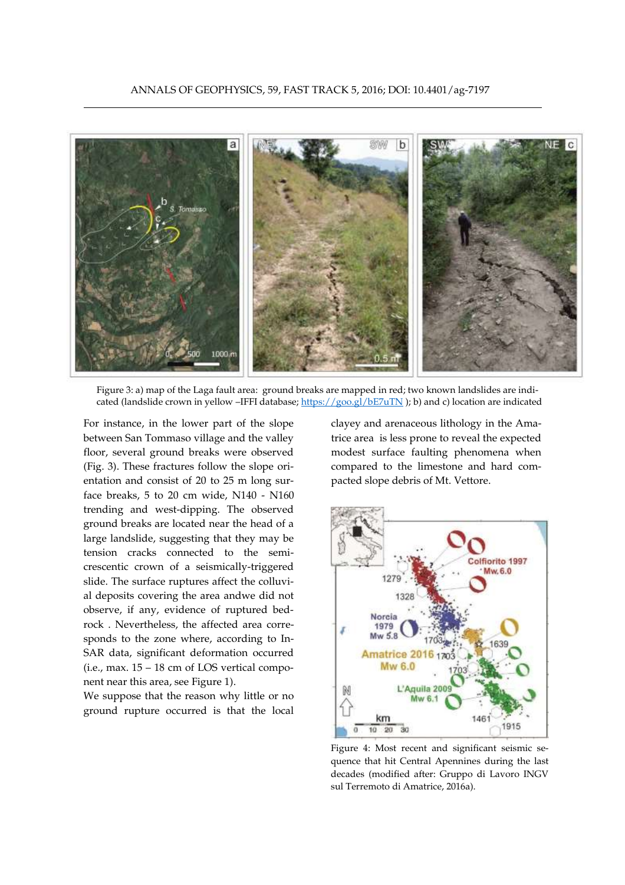

Figure 3: a) map of the Laga fault area: ground breaks are mapped in red; two known landslides are indicated (landslide crown in yellow –IFFI database; <https://goo.gl/bE7uTN> ); b) and c) location are indicated

For instance, in the lower part of the slope between San Tommaso village and the valley floor, several ground breaks were observed (Fig. 3). These fractures follow the slope orientation and consist of 20 to 25 m long surface breaks, 5 to 20 cm wide, N140 - N160 trending and west-dipping. The observed ground breaks are located near the head of a large landslide, suggesting that they may be tension cracks connected to the semicrescentic crown of a seismically-triggered slide. The surface ruptures affect the colluvial deposits covering the area andwe did not observe, if any, evidence of ruptured bedrock . Nevertheless, the affected area corresponds to the zone where, according to In-SAR data, significant deformation occurred (i.e., max. 15 – 18 cm of LOS vertical component near this area, see Figure 1).

We suppose that the reason why little or no ground rupture occurred is that the local

clayey and arenaceous lithology in the Amatrice area is less prone to reveal the expected modest surface faulting phenomena when compared to the limestone and hard compacted slope debris of Mt. Vettore.



Figure 4: Most recent and significant seismic sequence that hit Central Apennines during the last decades (modified after: Gruppo di Lavoro INGV sul Terremoto di Amatrice, 2016a).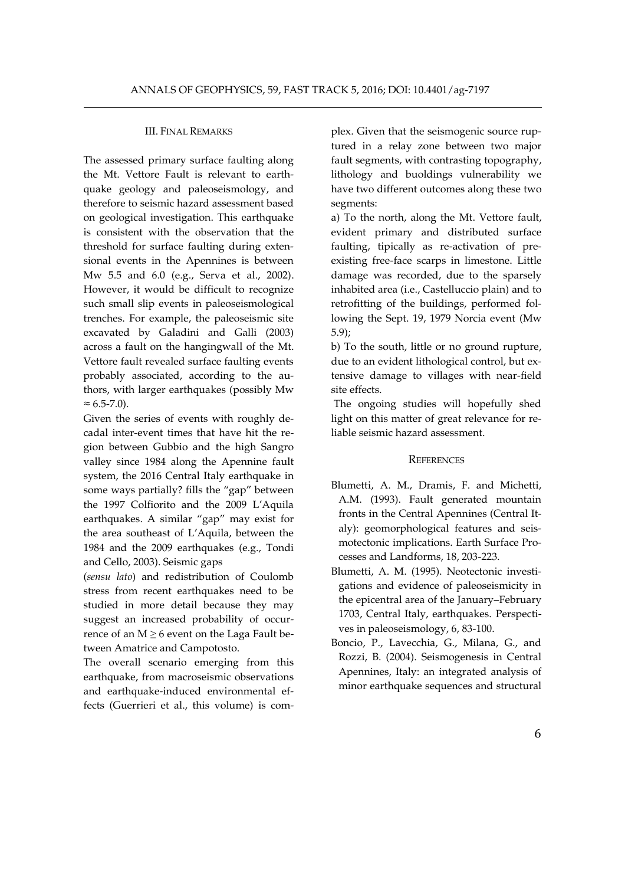# III. FINAL REMARKS

The assessed primary surface faulting along the Mt. Vettore Fault is relevant to earthquake geology and paleoseismology, and therefore to seismic hazard assessment based on geological investigation. This earthquake is consistent with the observation that the threshold for surface faulting during extensional events in the Apennines is between Mw 5.5 and 6.0 (e.g., Serva et al., 2002). However, it would be difficult to recognize such small slip events in paleoseismological trenches. For example, the paleoseismic site excavated by Galadini and Galli (2003) across a fault on the hangingwall of the Mt. Vettore fault revealed surface faulting events probably associated, according to the authors, with larger earthquakes (possibly Mw  $\approx 6.5 - 7.0$ ).

Given the series of events with roughly decadal inter-event times that have hit the region between Gubbio and the high Sangro valley since 1984 along the Apennine fault system, the 2016 Central Italy earthquake in some ways partially? fills the "gap" between the 1997 Colfiorito and the 2009 L'Aquila earthquakes. A similar "gap" may exist for the area southeast of L'Aquila, between the 1984 and the 2009 earthquakes (e.g., Tondi and Cello, 2003). Seismic gaps

(*sensu lato*) and redistribution of Coulomb stress from recent earthquakes need to be studied in more detail because they may suggest an increased probability of occurrence of an  $M \geq 6$  event on the Laga Fault between Amatrice and Campotosto.

The overall scenario emerging from this earthquake, from macroseismic observations and earthquake-induced environmental effects (Guerrieri et al., this volume) is complex. Given that the seismogenic source ruptured in a relay zone between two major fault segments, with contrasting topography, lithology and buoldings vulnerability we have two different outcomes along these two segments:

a) To the north, along the Mt. Vettore fault, evident primary and distributed surface faulting, tipically as re-activation of preexisting free-face scarps in limestone. Little damage was recorded, due to the sparsely inhabited area (i.e., Castelluccio plain) and to retrofitting of the buildings, performed following the Sept. 19, 1979 Norcia event (Mw 5.9);

b) To the south, little or no ground rupture, due to an evident lithological control, but extensive damage to villages with near-field site effects.

The ongoing studies will hopefully shed light on this matter of great relevance for reliable seismic hazard assessment.

# **REFERENCES**

- Blumetti, A. M., Dramis, F. and Michetti, A.M. (1993). Fault generated mountain fronts in the Central Apennines (Central Italy): geomorphological features and seismotectonic implications. Earth Surface Processes and Landforms, 18, 203-223.
- Blumetti, A. M. (1995). Neotectonic investigations and evidence of paleoseismicity in the epicentral area of the January–February 1703, Central Italy, earthquakes. Perspectives in paleoseismology, 6, 83-100.
- Boncio, P., Lavecchia, G., Milana, G., and Rozzi, B. (2004). Seismogenesis in Central Apennines, Italy: an integrated analysis of minor earthquake sequences and structural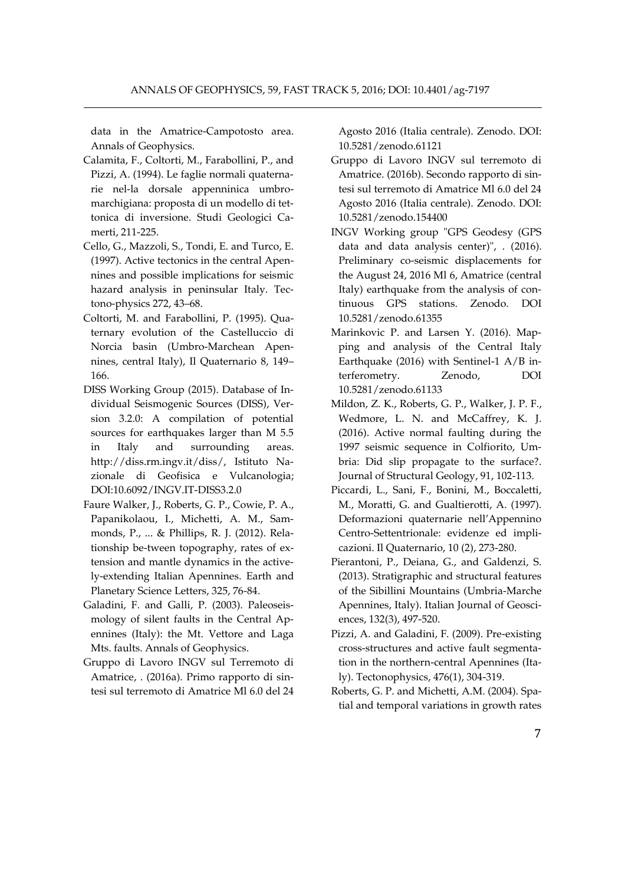data in the Amatrice-Campotosto area. Annals of Geophysics.

- Calamita, F., Coltorti, M., Farabollini, P., and Pizzi, A. (1994). Le faglie normali quaternarie nel-la dorsale appenninica umbromarchigiana: proposta di un modello di tettonica di inversione. Studi Geologici Camerti, 211-225.
- Cello, G., Mazzoli, S., Tondi, E. and Turco, E. (1997). Active tectonics in the central Apennines and possible implications for seismic hazard analysis in peninsular Italy. Tectono-physics 272, 43–68.
- Coltorti, M. and Farabollini, P. (1995). Quaternary evolution of the Castelluccio di Norcia basin (Umbro-Marchean Apennines, central Italy), Il Quaternario 8, 149– 166.
- DISS Working Group (2015). Database of Individual Seismogenic Sources (DISS), Version 3.2.0: A compilation of potential sources for earthquakes larger than M 5.5 in Italy and surrounding areas. http://diss.rm.ingv.it/diss/, Istituto Nazionale di Geofisica e Vulcanologia; DOI:10.6092/INGV.IT-DISS3.2.0
- Faure Walker, J., Roberts, G. P., Cowie, P. A., Papanikolaou, I., Michetti, A. M., Sammonds, P., ... & Phillips, R. J. (2012). Relationship be-tween topography, rates of extension and mantle dynamics in the actively-extending Italian Apennines. Earth and Planetary Science Letters, 325, 76-84.
- Galadini, F. and Galli, P. (2003). Paleoseismology of silent faults in the Central Apennines (Italy): the Mt. Vettore and Laga Mts. faults. Annals of Geophysics.
- Gruppo di Lavoro INGV sul Terremoto di Amatrice, . (2016a). Primo rapporto di sintesi sul terremoto di Amatrice Ml 6.0 del 24

Agosto 2016 (Italia centrale). Zenodo. DOI: 10.5281/zenodo.61121

- Gruppo di Lavoro INGV sul terremoto di Amatrice. (2016b). Secondo rapporto di sintesi sul terremoto di Amatrice Ml 6.0 del 24 Agosto 2016 (Italia centrale). Zenodo. DOI: 10.5281/zenodo.154400
- INGV Working group "GPS Geodesy (GPS data and data analysis center)", . (2016). Preliminary co-seismic displacements for the August 24, 2016 Ml 6, Amatrice (central Italy) earthquake from the analysis of continuous GPS stations. Zenodo. DOI 10.5281/zenodo.61355
- Marinkovic P. and Larsen Y. (2016). Mapping and analysis of the Central Italy Earthquake (2016) with Sentinel-1 A/B interferometry. Zenodo, DOI 10.5281/zenodo.61133
- Mildon, Z. K., Roberts, G. P., Walker, J. P. F., Wedmore, L. N. and McCaffrey, K. J. (2016). Active normal faulting during the 1997 seismic sequence in Colfiorito, Umbria: Did slip propagate to the surface?. Journal of Structural Geology, 91, 102-113.
- Piccardi, L., Sani, F., Bonini, M., Boccaletti, M., Moratti, G. and Gualtierotti, A. (1997). Deformazioni quaternarie nell'Appennino Centro-Settentrionale: evidenze ed implicazioni. Il Quaternario, 10 (2), 273-280.
- Pierantoni, P., Deiana, G., and Galdenzi, S. (2013). Stratigraphic and structural features of the Sibillini Mountains (Umbria-Marche Apennines, Italy). Italian Journal of Geosciences, 132(3), 497-520.
- Pizzi, A. and Galadini, F. (2009). Pre-existing cross-structures and active fault segmentation in the northern-central Apennines (Italy). Tectonophysics, 476(1), 304-319.
- Roberts, G. P. and Michetti, A.M. (2004). Spatial and temporal variations in growth rates